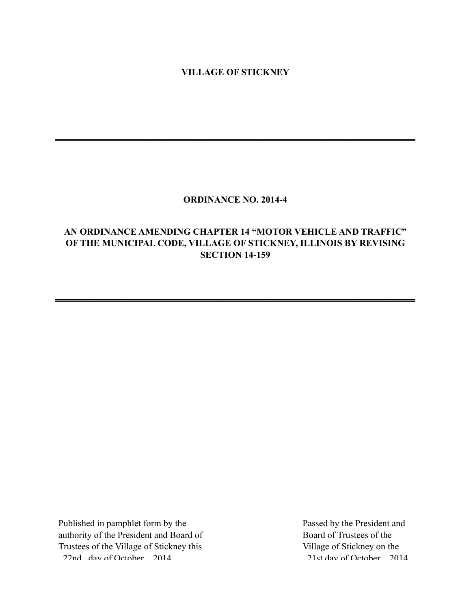### **VILLAGE OF STICKNEY**

**\_\_\_\_\_\_\_\_\_\_\_\_\_\_\_\_\_\_\_\_\_\_\_\_\_\_\_\_\_\_\_\_\_\_\_\_\_\_\_\_\_\_\_\_\_\_\_\_\_\_\_\_\_\_\_\_\_\_\_\_\_\_\_\_\_\_\_\_\_\_\_\_\_\_\_\_\_\_**

#### **ORDINANCE NO. 2014-4**

## **AN ORDINANCE AMENDING CHAPTER 14 "MOTOR VEHICLE AND TRAFFIC" OF THE MUNICIPAL CODE, VILLAGE OF STICKNEY, ILLINOIS BY REVISING SECTION 14-159**

**\_\_\_\_\_\_\_\_\_\_\_\_\_\_\_\_\_\_\_\_\_\_\_\_\_\_\_\_\_\_\_\_\_\_\_\_\_\_\_\_\_\_\_\_\_\_\_\_\_\_\_\_\_\_\_\_\_\_\_\_\_\_\_\_\_\_\_\_\_\_\_\_\_\_\_\_\_\_**

Published in pamphlet form by the authority of the President and Board of Trustees of the Village of Stickney this 22nd day of October 2014

Passed by the President and Board of Trustees of the Village of Stickney on the 21st day of October 2014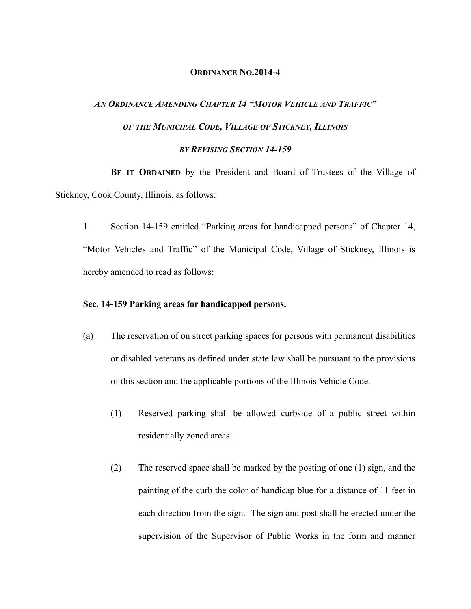#### **ORDINANCE NO.2014-4**

# *AN ORDINANCE AMENDING CHAPTER 14 "MOTOR VEHICLE AND TRAFFIC" OF THE MUNICIPAL CODE, VILLAGE OF STICKNEY, ILLINOIS BY REVISING SECTION 14-159*

**BE IT ORDAINED** by the President and Board of Trustees of the Village of Stickney, Cook County, Illinois, as follows:

1. Section 14-159 entitled "Parking areas for handicapped persons" of Chapter 14, "Motor Vehicles and Traffic" of the Municipal Code, Village of Stickney, Illinois is hereby amended to read as follows:

#### **Sec. 14-159 Parking areas for handicapped persons.**

- (a) The reservation of on street parking spaces for persons with permanent disabilities or disabled veterans as defined under state law shall be pursuant to the provisions of this section and the applicable portions of the Illinois Vehicle Code.
	- (1) Reserved parking shall be allowed curbside of a public street within residentially zoned areas.
	- (2) The reserved space shall be marked by the posting of one (1) sign, and the painting of the curb the color of handicap blue for a distance of 11 feet in each direction from the sign. The sign and post shall be erected under the supervision of the Supervisor of Public Works in the form and manner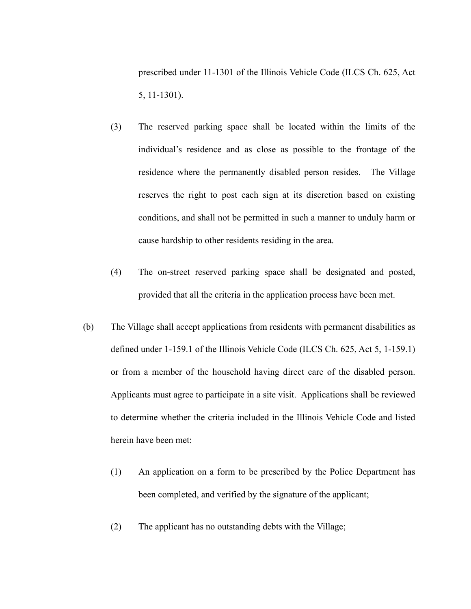prescribed under 11-1301 of the Illinois Vehicle Code (ILCS Ch. 625, Act 5, 11-1301).

- (3) The reserved parking space shall be located within the limits of the individual's residence and as close as possible to the frontage of the residence where the permanently disabled person resides. The Village reserves the right to post each sign at its discretion based on existing conditions, and shall not be permitted in such a manner to unduly harm or cause hardship to other residents residing in the area.
- (4) The on-street reserved parking space shall be designated and posted, provided that all the criteria in the application process have been met.
- (b) The Village shall accept applications from residents with permanent disabilities as defined under 1-159.1 of the Illinois Vehicle Code (ILCS Ch. 625, Act 5, 1-159.1) or from a member of the household having direct care of the disabled person. Applicants must agree to participate in a site visit. Applications shall be reviewed to determine whether the criteria included in the Illinois Vehicle Code and listed herein have been met:
	- (1) An application on a form to be prescribed by the Police Department has been completed, and verified by the signature of the applicant;
	- (2) The applicant has no outstanding debts with the Village;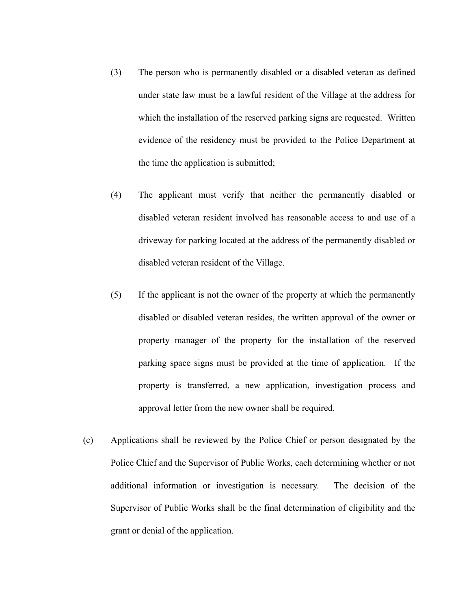- (3) The person who is permanently disabled or a disabled veteran as defined under state law must be a lawful resident of the Village at the address for which the installation of the reserved parking signs are requested. Written evidence of the residency must be provided to the Police Department at the time the application is submitted;
- (4) The applicant must verify that neither the permanently disabled or disabled veteran resident involved has reasonable access to and use of a driveway for parking located at the address of the permanently disabled or disabled veteran resident of the Village.
- (5) If the applicant is not the owner of the property at which the permanently disabled or disabled veteran resides, the written approval of the owner or property manager of the property for the installation of the reserved parking space signs must be provided at the time of application. If the property is transferred, a new application, investigation process and approval letter from the new owner shall be required.
- (c) Applications shall be reviewed by the Police Chief or person designated by the Police Chief and the Supervisor of Public Works, each determining whether or not additional information or investigation is necessary. The decision of the Supervisor of Public Works shall be the final determination of eligibility and the grant or denial of the application.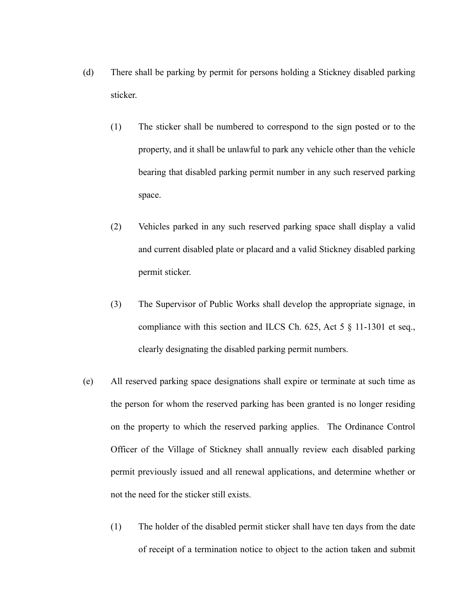- (d) There shall be parking by permit for persons holding a Stickney disabled parking sticker.
	- (1) The sticker shall be numbered to correspond to the sign posted or to the property, and it shall be unlawful to park any vehicle other than the vehicle bearing that disabled parking permit number in any such reserved parking space.
	- (2) Vehicles parked in any such reserved parking space shall display a valid and current disabled plate or placard and a valid Stickney disabled parking permit sticker.
	- (3) The Supervisor of Public Works shall develop the appropriate signage, in compliance with this section and ILCS Ch. 625, Act 5 § 11-1301 et seq., clearly designating the disabled parking permit numbers.
- (e) All reserved parking space designations shall expire or terminate at such time as the person for whom the reserved parking has been granted is no longer residing on the property to which the reserved parking applies. The Ordinance Control Officer of the Village of Stickney shall annually review each disabled parking permit previously issued and all renewal applications, and determine whether or not the need for the sticker still exists.
	- (1) The holder of the disabled permit sticker shall have ten days from the date of receipt of a termination notice to object to the action taken and submit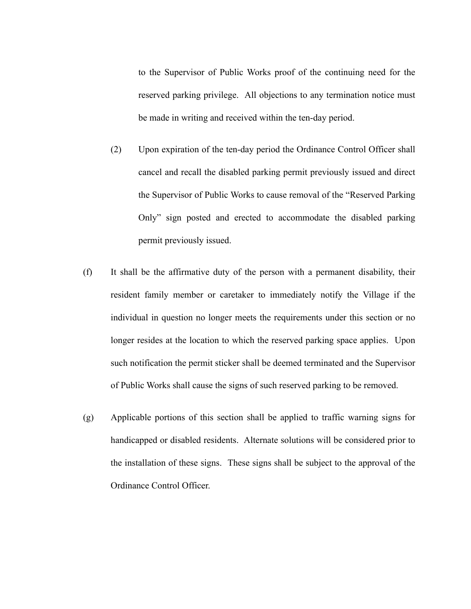to the Supervisor of Public Works proof of the continuing need for the reserved parking privilege. All objections to any termination notice must be made in writing and received within the ten-day period.

- (2) Upon expiration of the ten-day period the Ordinance Control Officer shall cancel and recall the disabled parking permit previously issued and direct the Supervisor of Public Works to cause removal of the "Reserved Parking Only" sign posted and erected to accommodate the disabled parking permit previously issued.
- (f) It shall be the affirmative duty of the person with a permanent disability, their resident family member or caretaker to immediately notify the Village if the individual in question no longer meets the requirements under this section or no longer resides at the location to which the reserved parking space applies. Upon such notification the permit sticker shall be deemed terminated and the Supervisor of Public Works shall cause the signs of such reserved parking to be removed.
- (g) Applicable portions of this section shall be applied to traffic warning signs for handicapped or disabled residents. Alternate solutions will be considered prior to the installation of these signs. These signs shall be subject to the approval of the Ordinance Control Officer.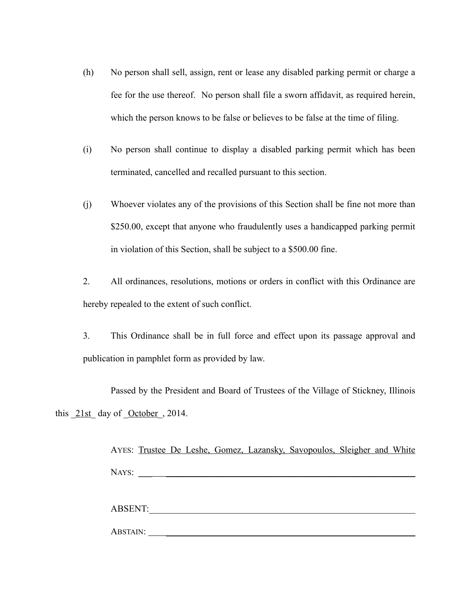- (h) No person shall sell, assign, rent or lease any disabled parking permit or charge a fee for the use thereof. No person shall file a sworn affidavit, as required herein, which the person knows to be false or believes to be false at the time of filing.
- (i) No person shall continue to display a disabled parking permit which has been terminated, cancelled and recalled pursuant to this section.
- (j) Whoever violates any of the provisions of this Section shall be fine not more than \$250.00, except that anyone who fraudulently uses a handicapped parking permit in violation of this Section, shall be subject to a \$500.00 fine.
- 2. All ordinances, resolutions, motions or orders in conflict with this Ordinance are hereby repealed to the extent of such conflict.
- 3. This Ordinance shall be in full force and effect upon its passage approval and publication in pamphlet form as provided by law.

Passed by the President and Board of Trustees of the Village of Stickney, Illinois this  $21st$  day of October , 2014.

|          |  |         | AYES: Trustee De Leshe, Gomez, Lazansky, Savopoulos, Sleigher and White |  |  |
|----------|--|---------|-------------------------------------------------------------------------|--|--|
|          |  |         |                                                                         |  |  |
|          |  |         |                                                                         |  |  |
|          |  |         |                                                                         |  |  |
|          |  |         |                                                                         |  |  |
|          |  |         |                                                                         |  |  |
|          |  | ABSENT: |                                                                         |  |  |
|          |  |         |                                                                         |  |  |
| ABSTAIN: |  |         |                                                                         |  |  |